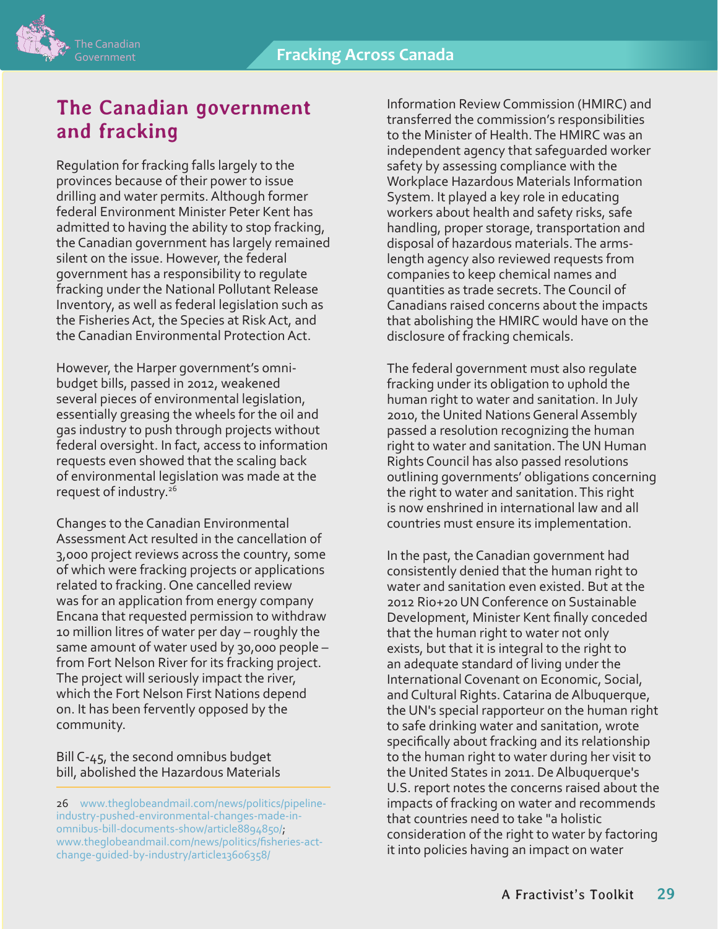

## **The Canadian government and fracking**

Regulation for fracking falls largely to the provinces because of their power to issue drilling and water permits. Although former federal Environment Minister Peter Kent has admitted to having the ability to stop fracking, the Canadian government has largely remained silent on the issue. However, the federal government has a responsibility to regulate fracking under the National Pollutant Release Inventory, as well as federal legislation such as the Fisheries Act, the Species at Risk Act, and the Canadian Environmental Protection Act.

However, the Harper government's omnibudget bills, passed in 2012, weakened several pieces of environmental legislation, essentially greasing the wheels for the oil and gas industry to push through projects without federal oversight. In fact, access to information requests even showed that the scaling back of environmental legislation was made at the request of industry.<sup>26</sup>

Changes to the Canadian Environmental Assessment Act resulted in the cancellation of 3,000 project reviews across the country, some of which were fracking projects or applications related to fracking. One cancelled review was for an application from energy company Encana that requested permission to withdraw 10 million litres of water per day – roughly the same amount of water used by 30,000 people – from Fort Nelson River for its fracking project. The project will seriously impact the river, which the Fort Nelson First Nations depend on. It has been fervently opposed by the community.

Bill C-45, the second omnibus budget bill, abolished the Hazardous Materials

26 [www.theglobeandmail.com/news/politics/pipeline](http://www.theglobeandmail.com/news/politics/pipeline-industry-pushed-environmental-changes-made-in-omnibus-bill-documents-show/article8894850/)[industry-pushed-environmental-changes-made-in](http://www.theglobeandmail.com/news/politics/pipeline-industry-pushed-environmental-changes-made-in-omnibus-bill-documents-show/article8894850/)[omnibus-bill-documents-show/article8894850/;](http://www.theglobeandmail.com/news/politics/pipeline-industry-pushed-environmental-changes-made-in-omnibus-bill-documents-show/article8894850/) [www.theglobeandmail.com/news/politics/fisheries-act](http://www.theglobeandmail.com/news/politics/fisheries-act-change-guided-by-industry/article13606358/)[change-guided-by-industry/article13606358/](http://www.theglobeandmail.com/news/politics/fisheries-act-change-guided-by-industry/article13606358/)

Information Review Commission (HMIRC) and transferred the commission's responsibilities to the Minister of Health. The HMIRC was an independent agency that safeguarded worker safety by assessing compliance with the Workplace Hazardous Materials Information System. It played a key role in educating workers about health and safety risks, safe handling, proper storage, transportation and disposal of hazardous materials. The armslength agency also reviewed requests from companies to keep chemical names and quantities as trade secrets. The Council of Canadians raised concerns about the impacts that abolishing the HMIRC would have on the disclosure of fracking chemicals.

The federal government must also regulate fracking under its obligation to uphold the human right to water and sanitation. In July 2010, the United Nations General Assembly passed a resolution recognizing the human right to water and sanitation. The UN Human Rights Council has also passed resolutions outlining governments' obligations concerning the right to water and sanitation. This right is now enshrined in international law and all countries must ensure its implementation.

In the past, the Canadian government had consistently denied that the human right to water and sanitation even existed. But at the 2012 Rio+20 UN Conference on Sustainable Development, Minister Kent finally conceded that the human right to water not only exists, but that it is integral to the right to an adequate standard of living under the International Covenant on Economic, Social, and Cultural Rights. Catarina de Albuquerque, the UN's special rapporteur on the human right to safe drinking water and sanitation, wrote specifically about fracking and its relationship to the human right to water during her visit to the United States in 2011. De Albuquerque's U.S. report notes the concerns raised about the impacts of fracking on water and recommends that countries need to take "a holistic consideration of the right to water by factoring it into policies having an impact on water